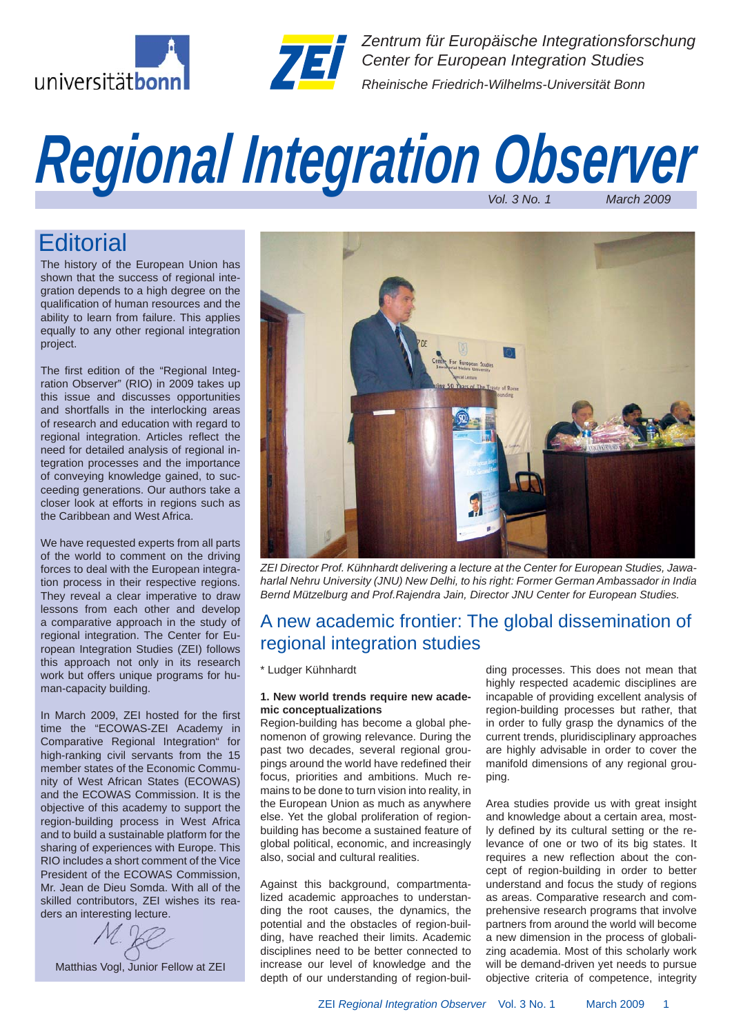



*Zentrum für Europäische Integrationsforschung Center for European Integration Studies Rheinische Friedrich-Wilhelms-Universität Bonn*

# *Vol. 3 No. 1 March 2009 Regional Integration Observer*

# **Editorial**

The history of the European Union has shown that the success of regional integration depends to a high degree on the qualification of human resources and the ability to learn from failure. This applies equally to any other regional integration project.

The first edition of the "Regional Integration Observer" (RIO) in 2009 takes up this issue and discusses opportunities and shortfalls in the interlocking areas of research and education with regard to regional integration. Articles reflect the need for detailed analysis of regional integration processes and the importance of conveying knowledge gained, to succeeding generations. Our authors take a closer look at efforts in regions such as the Caribbean and West Africa.

We have requested experts from all parts of the world to comment on the driving forces to deal with the European integration process in their respective regions. They reveal a clear imperative to draw lessons from each other and develop a comparative approach in the study of regional integration. The Center for European Integration Studies (ZEI) follows this approach not only in its research work but offers unique programs for human-capacity building.

In March 2009, ZEI hosted for the first time the "ECOWAS-ZEI Academy in Comparative Regional Integration" for high-ranking civil servants from the 15 member states of the Economic Community of West African States (ECOWAS) and the ECOWAS Commission. It is the objective of this academy to support the region-building process in West Africa and to build a sustainable platform for the sharing of experiences with Europe. This RIO includes a short comment of the Vice President of the ECOWAS Commission, Mr. Jean de Dieu Somda. With all of the skilled contributors, ZEI wishes its readers an interesting lecture.

Matthias Vogl, Junior Fellow at ZEI



*ZEI Director Prof. Kühnhardt delivering a lecture at the Center for European Studies, Jawaharlal Nehru University (JNU) New Delhi, to his right: Former German Ambassador in India Bernd Mützelburg and Prof.Rajendra Jain, Director JNU Center for European Studies.*

### A new academic frontier: The global dissemination of regional integration studies

\* Ludger Kühnhardt

#### **1. New world trends require new academic conceptualizations**

Region-building has become a global phenomenon of growing relevance. During the past two decades, several regional groupings around the world have redefined their focus, priorities and ambitions. Much remains to be done to turn vision into reality, in the European Union as much as anywhere else. Yet the global proliferation of regionbuilding has become a sustained feature of global political, economic, and increasingly also, social and cultural realities.

Against this background, compartmentalized academic approaches to understanding the root causes, the dynamics, the potential and the obstacles of region-building, have reached their limits. Academic disciplines need to be better connected to increase our level of knowledge and the depth of our understanding of region-building processes. This does not mean that highly respected academic disciplines are incapable of providing excellent analysis of region-building processes but rather, that in order to fully grasp the dynamics of the current trends, pluridisciplinary approaches are highly advisable in order to cover the manifold dimensions of any regional grouping.

Area studies provide us with great insight and knowledge about a certain area, mostly defined by its cultural setting or the relevance of one or two of its big states. It requires a new reflection about the concept of region-building in order to better understand and focus the study of regions as areas. Comparative research and comprehensive research programs that involve partners from around the world will become a new dimension in the process of globalizing academia. Most of this scholarly work will be demand-driven yet needs to pursue objective criteria of competence, integrity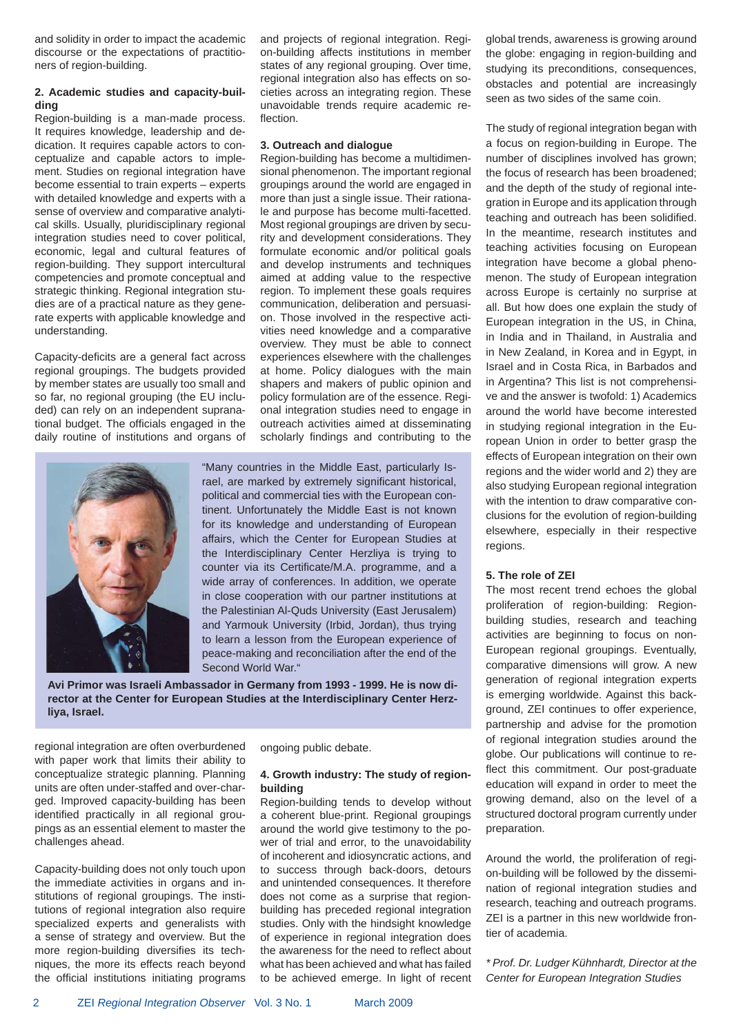and solidity in order to impact the academic discourse or the expectations of practitioners of region-building.

#### **2. Academic studies and capacity-building**

Region-building is a man-made process. It requires knowledge, leadership and dedication. It requires capable actors to conceptualize and capable actors to implement. Studies on regional integration have become essential to train experts – experts with detailed knowledge and experts with a sense of overview and comparative analytical skills. Usually, pluridisciplinary regional integration studies need to cover political, economic, legal and cultural features of region-building. They support intercultural competencies and promote conceptual and strategic thinking. Regional integration studies are of a practical nature as they generate experts with applicable knowledge and understanding.

Capacity-deficits are a general fact across regional groupings. The budgets provided by member states are usually too small and so far, no regional grouping (the EU included) can rely on an independent supranational budget. The officials engaged in the daily routine of institutions and organs of



and projects of regional integration. Region-building affects institutions in member states of any regional grouping. Over time, regional integration also has effects on societies across an integrating region. These unavoidable trends require academic reflection.

#### **3. Outreach and dialogue**

Region-building has become a multidimensional phenomenon. The important regional groupings around the world are engaged in more than just a single issue. Their rationale and purpose has become multi-facetted. Most regional groupings are driven by security and development considerations. They formulate economic and/or political goals and develop instruments and techniques aimed at adding value to the respective region. To implement these goals requires communication, deliberation and persuasion. Those involved in the respective activities need knowledge and a comparative overview. They must be able to connect experiences elsewhere with the challenges at home. Policy dialogues with the main shapers and makers of public opinion and policy formulation are of the essence. Regional integration studies need to engage in outreach activities aimed at disseminating scholarly findings and contributing to the

"Many countries in the Middle East, particularly Israel, are marked by extremely significant historical, political and commercial ties with the European continent. Unfortunately the Middle East is not known for its knowledge and understanding of European affairs, which the Center for European Studies at the Interdisciplinary Center Herzliya is trying to counter via its Certificate/M.A. programme, and a wide array of conferences. In addition, we operate in close cooperation with our partner institutions at the Palestinian Al-Quds University (East Jerusalem) and Yarmouk University (Irbid, Jordan), thus trying to learn a lesson from the European experience of peace-making and reconciliation after the end of the Second World War."

**Avi Primor was Israeli Ambassador in Germany from 1993 - 1999. He is now director at the Center for European Studies at the Interdisciplinary Center Herzliya, Israel.**

regional integration are often overburdened with paper work that limits their ability to conceptualize strategic planning. Planning units are often under-staffed and over-charged. Improved capacity-building has been identified practically in all regional groupings as an essential element to master the challenges ahead.

Capacity-building does not only touch upon the immediate activities in organs and institutions of regional groupings. The institutions of regional integration also require specialized experts and generalists with a sense of strategy and overview. But the more region-building diversifies its techniques, the more its effects reach beyond the official institutions initiating programs ongoing public debate.

#### **4. Growth industry: The study of regionbuilding**

Region-building tends to develop without a coherent blue-print. Regional groupings around the world give testimony to the power of trial and error, to the unavoidability of incoherent and idiosyncratic actions, and to success through back-doors, detours and unintended consequences. It therefore does not come as a surprise that regionbuilding has preceded regional integration studies. Only with the hindsight knowledge of experience in regional integration does the awareness for the need to reflect about what has been achieved and what has failed to be achieved emerge. In light of recent

global trends, awareness is growing around the globe: engaging in region-building and studying its preconditions, consequences, obstacles and potential are increasingly seen as two sides of the same coin.

The study of regional integration began with a focus on region-building in Europe. The number of disciplines involved has grown; the focus of research has been broadened; and the depth of the study of regional integration in Europe and its application through teaching and outreach has been solidified. In the meantime, research institutes and teaching activities focusing on European integration have become a global phenomenon. The study of European integration across Europe is certainly no surprise at all. But how does one explain the study of European integration in the US, in China, in India and in Thailand, in Australia and in New Zealand, in Korea and in Egypt, in Israel and in Costa Rica, in Barbados and in Argentina? This list is not comprehensive and the answer is twofold: 1) Academics around the world have become interested in studying regional integration in the European Union in order to better grasp the effects of European integration on their own regions and the wider world and 2) they are also studying European regional integration with the intention to draw comparative conclusions for the evolution of region-building elsewhere, especially in their respective regions.

#### **5. The role of ZEI**

The most recent trend echoes the global proliferation of region-building: Regionbuilding studies, research and teaching activities are beginning to focus on non-European regional groupings. Eventually, comparative dimensions will grow. A new generation of regional integration experts is emerging worldwide. Against this background, ZEI continues to offer experience, partnership and advise for the promotion of regional integration studies around the globe. Our publications will continue to reflect this commitment. Our post-graduate education will expand in order to meet the growing demand, also on the level of a structured doctoral program currently under preparation.

Around the world, the proliferation of region-building will be followed by the dissemination of regional integration studies and research, teaching and outreach programs. ZEI is a partner in this new worldwide frontier of academia.

*\* Prof. Dr. Ludger Kühnhardt, Director at the Center for European Integration Studies*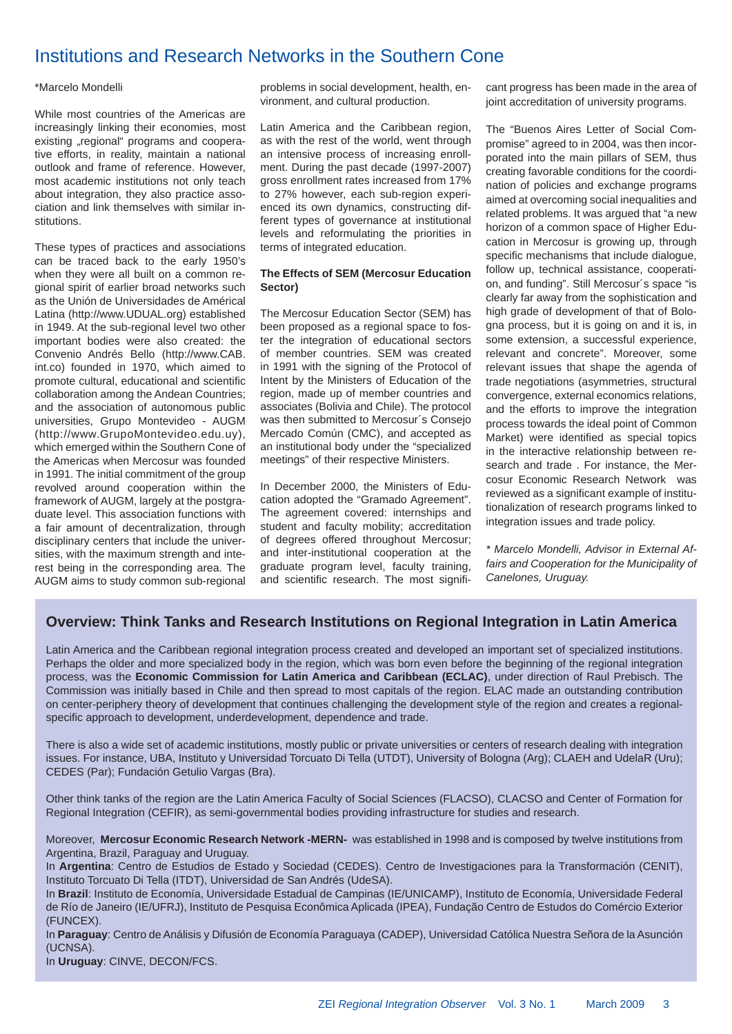### Institutions and Research Networks in the Southern Cone

#### \*Marcelo Mondelli

While most countries of the Americas are increasingly linking their economies, most existing "regional" programs and cooperative efforts, in reality, maintain a national outlook and frame of reference. However, most academic institutions not only teach about integration, they also practice association and link themselves with similar institutions.

These types of practices and associations can be traced back to the early 1950's when they were all built on a common regional spirit of earlier broad networks such as the Unión de Universidades de Américal Latina (http://www.UDUAL.org) established in 1949. At the sub-regional level two other important bodies were also created: the Convenio Andrés Bello (http://www.CAB. int.co) founded in 1970, which aimed to promote cultural, educational and scientific collaboration among the Andean Countries; and the association of autonomous public universities, Grupo Montevideo - AUGM (http://www.GrupoMontevideo.edu.uy), which emerged within the Southern Cone of the Americas when Mercosur was founded in 1991. The initial commitment of the group revolved around cooperation within the framework of AUGM, largely at the postgraduate level. This association functions with a fair amount of decentralization, through disciplinary centers that include the universities, with the maximum strength and interest being in the corresponding area. The AUGM aims to study common sub-regional problems in social development, health, environment, and cultural production.

Latin America and the Caribbean region, as with the rest of the world, went through an intensive process of increasing enrollment. During the past decade (1997-2007) gross enrollment rates increased from 17% to 27% however, each sub-region experienced its own dynamics, constructing different types of governance at institutional levels and reformulating the priorities in terms of integrated education.

#### **The Effects of SEM (Mercosur Education Sector)**

The Mercosur Education Sector (SEM) has been proposed as a regional space to foster the integration of educational sectors of member countries. SEM was created in 1991 with the signing of the Protocol of Intent by the Ministers of Education of the region, made up of member countries and associates (Bolivia and Chile). The protocol was then submitted to Mercosur´s Consejo Mercado Común (CMC), and accepted as an institutional body under the "specialized meetings" of their respective Ministers.

In December 2000, the Ministers of Education adopted the "Gramado Agreement". The agreement covered: internships and student and faculty mobility; accreditation of degrees offered throughout Mercosur; and inter-institutional cooperation at the graduate program level, faculty training, and scientific research. The most significant progress has been made in the area of joint accreditation of university programs.

The "Buenos Aires Letter of Social Compromise" agreed to in 2004, was then incorporated into the main pillars of SEM, thus creating favorable conditions for the coordination of policies and exchange programs aimed at overcoming social inequalities and related problems. It was argued that "a new horizon of a common space of Higher Education in Mercosur is growing up, through specific mechanisms that include dialogue, follow up, technical assistance, cooperation, and funding". Still Mercosur´s space "is clearly far away from the sophistication and high grade of development of that of Bologna process, but it is going on and it is, in some extension, a successful experience, relevant and concrete". Moreover, some relevant issues that shape the agenda of trade negotiations (asymmetries, structural convergence, external economics relations, and the efforts to improve the integration process towards the ideal point of Common Market) were identified as special topics in the interactive relationship between research and trade . For instance, the Mercosur Economic Research Network was reviewed as a significant example of institutionalization of research programs linked to integration issues and trade policy.

*\* Marcelo Mondelli, Advisor in External Affairs and Cooperation for the Municipality of Canelones, Uruguay.*

### **Overview: Think Tanks and Research Institutions on Regional Integration in Latin America**

Latin America and the Caribbean regional integration process created and developed an important set of specialized institutions. Perhaps the older and more specialized body in the region, which was born even before the beginning of the regional integration process, was the **Economic Commission for Latin America and Caribbean (ECLAC)**, under direction of Raul Prebisch. The Commission was initially based in Chile and then spread to most capitals of the region. ELAC made an outstanding contribution on center-periphery theory of development that continues challenging the development style of the region and creates a regionalspecific approach to development, underdevelopment, dependence and trade.

There is also a wide set of academic institutions, mostly public or private universities or centers of research dealing with integration issues. For instance, UBA, Instituto y Universidad Torcuato Di Tella (UTDT), University of Bologna (Arg); CLAEH and UdelaR (Uru); CEDES (Par); Fundación Getulio Vargas (Bra).

Other think tanks of the region are the Latin America Faculty of Social Sciences (FLACSO), CLACSO and Center of Formation for Regional Integration (CEFIR), as semi-governmental bodies providing infrastructure for studies and research.

Moreover, **Mercosur Economic Research Network -MERN-** was established in 1998 and is composed by twelve institutions from Argentina, Brazil, Paraguay and Uruguay.

In **Argentina**: Centro de Estudios de Estado y Sociedad (CEDES). Centro de Investigaciones para la Transformación (CENIT), Instituto Torcuato Di Tella (ITDT), Universidad de San Andrés (UdeSA).

In **Brazil**: Instituto de Economía, Universidade Estadual de Campinas (IE/UNICAMP), Instituto de Economía, Universidade Federal de Río de Janeiro (IE/UFRJ), Instituto de Pesquisa Econômica Aplicada (IPEA), Fundação Centro de Estudos do Comércio Exterior (FUNCEX).

In **Paraguay**: Centro de Análisis y Difusión de Economía Paraguaya (CADEP), Universidad Católica Nuestra Señora de la Asunción (UCNSA).

In **Uruguay**: CINVE, DECON/FCS.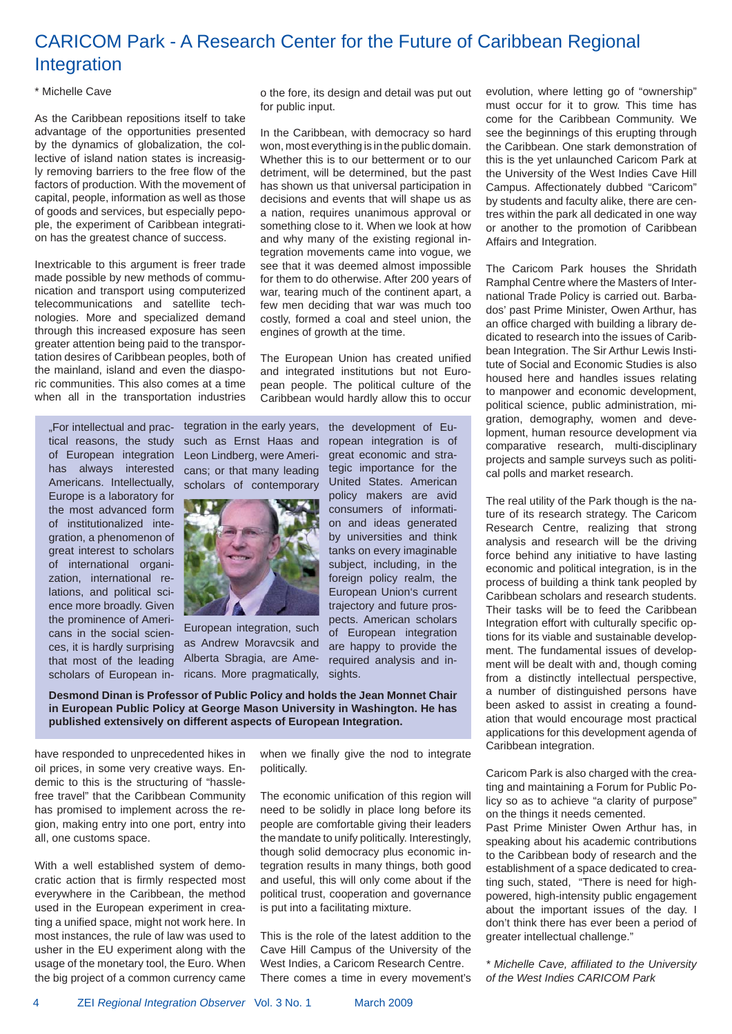# CARICOM Park - A Research Center for the Future of Caribbean Regional Integration

#### \* Michelle Cave

As the Caribbean repositions itself to take advantage of the opportunities presented by the dynamics of globalization, the collective of island nation states is increasig-Iv removing barriers to the free flow of the factors of production. With the movement of capital, people, information as well as those of goods and services, but especially pepople, the experiment of Caribbean integration has the greatest chance of success.

Inextricable to this argument is freer trade made possible by new methods of communication and transport using computerized telecommunications and satellite technologies. More and specialized demand through this increased exposure has seen greater attention being paid to the transportation desires of Caribbean peoples, both of the mainland, island and even the diasporic communities. This also comes at a time when all in the transportation industries o the fore, its design and detail was put out for public input.

In the Caribbean, with democracy so hard won, most everything is in the public domain. Whether this is to our betterment or to our detriment, will be determined, but the past has shown us that universal participation in decisions and events that will shape us as a nation, requires unanimous approval or something close to it. When we look at how and why many of the existing regional integration movements came into vogue, we see that it was deemed almost impossible for them to do otherwise. After 200 years of war, tearing much of the continent apart, a few men deciding that war was much too costly, formed a coal and steel union, the engines of growth at the time.

The European Union has created unified and integrated institutions but not European people. The political culture of the Caribbean would hardly allow this to occur

"For intellectual and practical reasons, the study of European integration has always interested Americans. Intellectually, Europe is a laboratory for the most advanced form of institutionalized integration, a phenomenon of great interest to scholars of international organization, international relations, and political science more broadly. Given the prominence of Americans in the social sciences, it is hardly surprising that most of the leading scholars of European in-

tegration in the early years, the development of Eusuch as Ernst Haas and Leon Lindberg, were Americans; or that many leading scholars of contemporary



European integration, such as Andrew Moravcsik and Alberta Sbragia, are Americans. More pragmatically,

ropean integration is of great economic and strategic importance for the United States. American policy makers are avid consumers of information and ideas generated by universities and think tanks on every imaginable subject, including, in the foreign policy realm, the European Union's current trajectory and future prospects. American scholars of European integration are happy to provide the required analysis and insights.

**Desmond Dinan is Professor of Public Policy and holds the Jean Monnet Chair in European Public Policy at George Mason University in Washington. He has published extensively on different aspects of European Integration.**

have responded to unprecedented hikes in oil prices, in some very creative ways. Endemic to this is the structuring of "hasslefree travel" that the Caribbean Community has promised to implement across the region, making entry into one port, entry into all, one customs space.

With a well established system of democratic action that is firmly respected most everywhere in the Caribbean, the method used in the European experiment in creating a unified space, might not work here. In most instances, the rule of law was used to usher in the EU experiment along with the usage of the monetary tool, the Euro. When the big project of a common currency came when we finally give the nod to integrate politically.

The economic unification of this region will need to be solidly in place long before its people are comfortable giving their leaders the mandate to unify politically. Interestingly, though solid democracy plus economic integration results in many things, both good and useful, this will only come about if the political trust, cooperation and governance is put into a facilitating mixture.

This is the role of the latest addition to the Cave Hill Campus of the University of the West Indies, a Caricom Research Centre. There comes a time in every movement's evolution, where letting go of "ownership" must occur for it to grow. This time has come for the Caribbean Community. We see the beginnings of this erupting through the Caribbean. One stark demonstration of this is the yet unlaunched Caricom Park at the University of the West Indies Cave Hill Campus. Affectionately dubbed "Caricom" by students and faculty alike, there are centres within the park all dedicated in one way or another to the promotion of Caribbean Affairs and Integration.

The Caricom Park houses the Shridath Ramphal Centre where the Masters of International Trade Policy is carried out. Barbados' past Prime Minister, Owen Arthur, has an office charged with building a library dedicated to research into the issues of Caribbean Integration. The Sir Arthur Lewis Institute of Social and Economic Studies is also housed here and handles issues relating to manpower and economic development, political science, public administration, migration, demography, women and development, human resource development via comparative research, multi-disciplinary projects and sample surveys such as political polls and market research.

The real utility of the Park though is the nature of its research strategy. The Caricom Research Centre, realizing that strong analysis and research will be the driving force behind any initiative to have lasting economic and political integration, is in the process of building a think tank peopled by Caribbean scholars and research students. Their tasks will be to feed the Caribbean Integration effort with culturally specific options for its viable and sustainable development. The fundamental issues of development will be dealt with and, though coming from a distinctly intellectual perspective, a number of distinguished persons have been asked to assist in creating a foundation that would encourage most practical applications for this development agenda of Caribbean integration.

Caricom Park is also charged with the creating and maintaining a Forum for Public Policy so as to achieve "a clarity of purpose" on the things it needs cemented.

Past Prime Minister Owen Arthur has, in speaking about his academic contributions to the Caribbean body of research and the establishment of a space dedicated to creating such, stated, "There is need for highpowered, high-intensity public engagement about the important issues of the day. I don't think there has ever been a period of greater intellectual challenge."

*\* Michelle Cave, affi liated to the University of the West Indies CARICOM Park*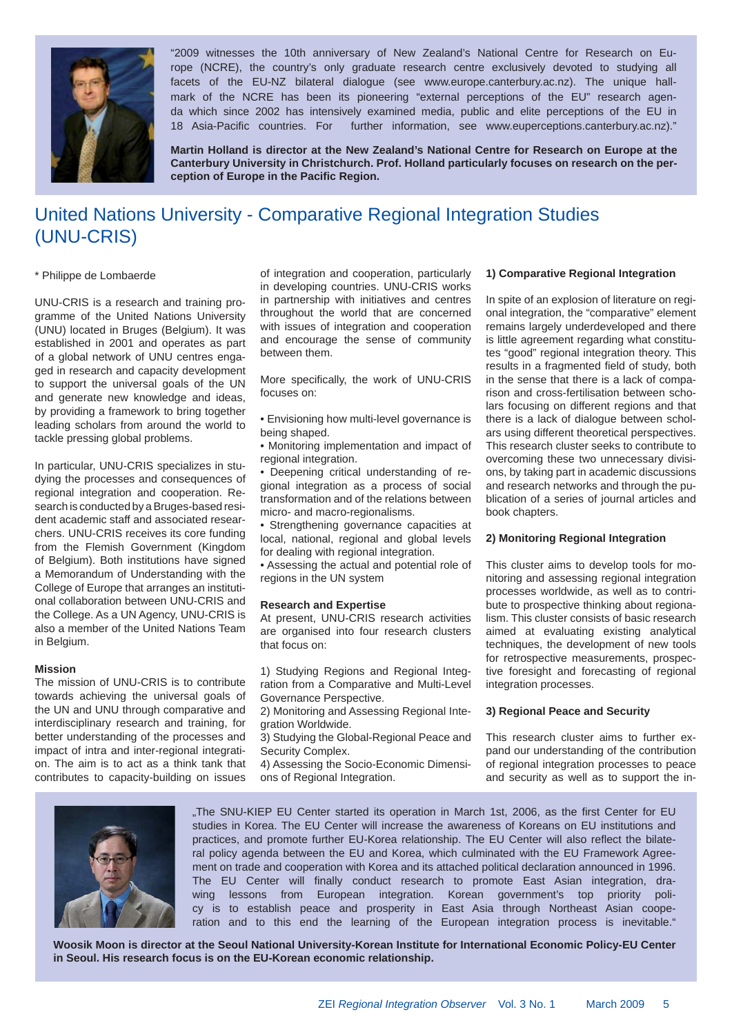

"2009 witnesses the 10th anniversary of New Zealand's National Centre for Research on Europe (NCRE), the country's only graduate research centre exclusively devoted to studying all facets of the EU-NZ bilateral dialogue (see www.europe.canterbury.ac.nz). The unique hallmark of the NCRE has been its pioneering "external perceptions of the EU" research agenda which since 2002 has intensively examined media, public and elite perceptions of the EU in 18 Asia-Pacific countries. For further information, see www.euperceptions.canterbury.ac.nz)."

**Martin Holland is director at the New Zealand's National Centre for Research on Europe at the Canterbury University in Christchurch. Prof. Holland particularly focuses on research on the perception of Europe in the Pacifi c Region.**

# United Nations University - Comparative Regional Integration Studies (UNU-CRIS)

#### \* Philippe de Lombaerde

UNU-CRIS is a research and training programme of the United Nations University (UNU) located in Bruges (Belgium). It was established in 2001 and operates as part of a global network of UNU centres engaged in research and capacity development to support the universal goals of the UN and generate new knowledge and ideas, by providing a framework to bring together leading scholars from around the world to tackle pressing global problems.

In particular, UNU-CRIS specializes in studying the processes and consequences of regional integration and cooperation. Research is conducted by a Bruges-based resident academic staff and associated researchers. UNU-CRIS receives its core funding from the Flemish Government (Kingdom of Belgium). Both institutions have signed a Memorandum of Understanding with the College of Europe that arranges an institutional collaboration between UNU-CRIS and the College. As a UN Agency, UNU-CRIS is also a member of the United Nations Team in Belgium.

#### **Mission**

The mission of UNU-CRIS is to contribute towards achieving the universal goals of the UN and UNU through comparative and interdisciplinary research and training, for better understanding of the processes and impact of intra and inter-regional integration. The aim is to act as a think tank that contributes to capacity-building on issues

of integration and cooperation, particularly in developing countries. UNU-CRIS works in partnership with initiatives and centres throughout the world that are concerned with issues of integration and cooperation and encourage the sense of community between them.

More specifically, the work of UNU-CRIS focuses on:

• Envisioning how multi-level governance is being shaped.

• Monitoring implementation and impact of regional integration.

• Deepening critical understanding of regional integration as a process of social transformation and of the relations between micro- and macro-regionalisms.

• Strengthening governance capacities at local, national, regional and global levels for dealing with regional integration.

• Assessing the actual and potential role of regions in the UN system

#### **Research and Expertise**

At present, UNU-CRIS research activities are organised into four research clusters that focus on:

1) Studying Regions and Regional Integration from a Comparative and Multi-Level Governance Perspective.

2) Monitoring and Assessing Regional Integration Worldwide.

3) Studying the Global-Regional Peace and Security Complex.

4) Assessing the Socio-Economic Dimensions of Regional Integration.

#### **1) Comparative Regional Integration**

In spite of an explosion of literature on regional integration, the "comparative" element remains largely underdeveloped and there is little agreement regarding what constitutes "good" regional integration theory. This results in a fragmented field of study, both in the sense that there is a lack of comparison and cross-fertilisation between scholars focusing on different regions and that there is a lack of dialogue between scholars using different theoretical perspectives. This research cluster seeks to contribute to overcoming these two unnecessary divisions, by taking part in academic discussions and research networks and through the publication of a series of journal articles and book chapters.

#### **2) Monitoring Regional Integration**

This cluster aims to develop tools for monitoring and assessing regional integration processes worldwide, as well as to contribute to prospective thinking about regionalism. This cluster consists of basic research aimed at evaluating existing analytical techniques, the development of new tools for retrospective measurements, prospective foresight and forecasting of regional integration processes.

#### **3) Regional Peace and Security**

This research cluster aims to further expand our understanding of the contribution of regional integration processes to peace and security as well as to support the in-



"The SNU-KIEP EU Center started its operation in March 1st, 2006, as the first Center for EU studies in Korea. The EU Center will increase the awareness of Koreans on EU institutions and practices, and promote further EU-Korea relationship. The EU Center will also reflect the bilateral policy agenda between the EU and Korea, which culminated with the EU Framework Agreement on trade and cooperation with Korea and its attached political declaration announced in 1996. The EU Center will finally conduct research to promote East Asian integration, drawing lessons from European integration. Korean government's top priority policy is to establish peace and prosperity in East Asia through Northeast Asian cooperation and to this end the learning of the European integration process is inevitable."

**Woosik Moon is director at the Seoul National University-Korean Institute for International Economic Policy-EU Center in Seoul. His research focus is on the EU-Korean economic relationship.**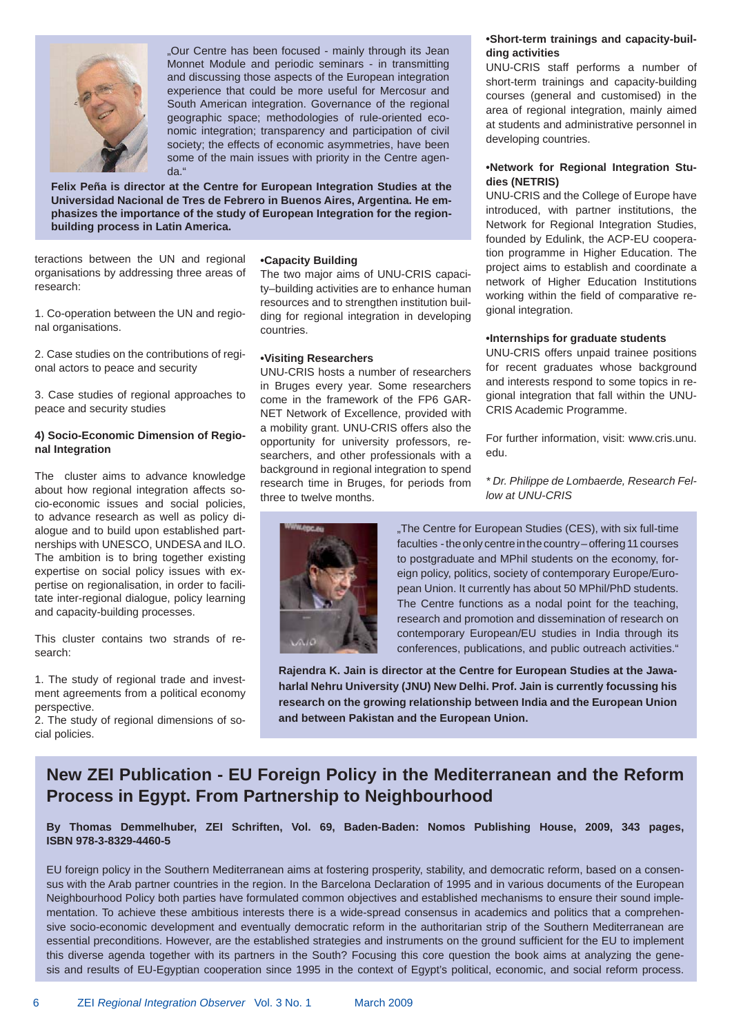

"Our Centre has been focused - mainly through its Jean Monnet Module and periodic seminars - in transmitting and discussing those aspects of the European integration experience that could be more useful for Mercosur and South American integration. Governance of the regional geographic space; methodologies of rule-oriented economic integration; transparency and participation of civil society; the effects of economic asymmetries, have been some of the main issues with priority in the Centre agenda."

**Felix Peña is director at the Centre for European Integration Studies at the Universidad Nacional de Tres de Febrero in Buenos Aires, Argentina. He emphasizes the importance of the study of European Integration for the regionbuilding process in Latin America.**

teractions between the UN and regional organisations by addressing three areas of research:

1. Co-operation between the UN and regional organisations.

2. Case studies on the contributions of regional actors to peace and security

3. Case studies of regional approaches to peace and security studies

#### **4) Socio-Economic Dimension of Regional Integration**

The cluster aims to advance knowledge about how regional integration affects socio-economic issues and social policies, to advance research as well as policy dialogue and to build upon established partnerships with UNESCO, UNDESA and ILO. The ambition is to bring together existing expertise on social policy issues with expertise on regionalisation, in order to facilitate inter-regional dialogue, policy learning and capacity-building processes.

This cluster contains two strands of research:

1. The study of regional trade and investment agreements from a political economy perspective.

2. The study of regional dimensions of social policies.

#### **•Capacity Building**

The two major aims of UNU-CRIS capacity–building activities are to enhance human resources and to strengthen institution building for regional integration in developing countries.

#### **•Visiting Researchers**

UNU-CRIS hosts a number of researchers in Bruges every year. Some researchers come in the framework of the FP6 GAR-NET Network of Excellence, provided with a mobility grant. UNU-CRIS offers also the opportunity for university professors, researchers, and other professionals with a background in regional integration to spend research time in Bruges, for periods from three to twelve months.



UNU-CRIS staff performs a number of short-term trainings and capacity-building courses (general and customised) in the area of regional integration, mainly aimed at students and administrative personnel in developing countries.

#### **•Network for Regional Integration Studies (NETRIS)**

UNU-CRIS and the College of Europe have introduced, with partner institutions, the Network for Regional Integration Studies, founded by Edulink, the ACP-EU cooperation programme in Higher Education. The project aims to establish and coordinate a network of Higher Education Institutions working within the field of comparative regional integration.

#### **•Internships for graduate students**

UNU-CRIS offers unpaid trainee positions for recent graduates whose background and interests respond to some topics in regional integration that fall within the UNU-CRIS Academic Programme.

For further information, visit: www.cris.unu. edu.

*\* Dr. Philippe de Lombaerde, Research Fellow at UNU-CRIS*



"The Centre for European Studies (CES), with six full-time faculties - the only centre in the country – offering 11 courses to postgraduate and MPhil students on the economy, foreign policy, politics, society of contemporary Europe/European Union. It currently has about 50 MPhil/PhD students. The Centre functions as a nodal point for the teaching, research and promotion and dissemination of research on contemporary European/EU studies in India through its conferences, publications, and public outreach activities."

**Rajendra K. Jain is director at the Centre for European Studies at the Jawaharlal Nehru University (JNU) New Delhi. Prof. Jain is currently focussing his research on the growing relationship between India and the European Union and between Pakistan and the European Union.**

### **New ZEI Publication - EU Foreign Policy in the Mediterranean and the Reform Process in Egypt. From Partnership to Neighbourhood**

**By Thomas Demmelhuber, ZEI Schriften, Vol. 69, Baden-Baden: Nomos Publishing House, 2009, 343 pages, ISBN 978-3-8329-4460-5** 

EU foreign policy in the Southern Mediterranean aims at fostering prosperity, stability, and democratic reform, based on a consensus with the Arab partner countries in the region. In the Barcelona Declaration of 1995 and in various documents of the European Neighbourhood Policy both parties have formulated common objectives and established mechanisms to ensure their sound implementation. To achieve these ambitious interests there is a wide-spread consensus in academics and politics that a comprehensive socio-economic development and eventually democratic reform in the authoritarian strip of the Southern Mediterranean are essential preconditions. However, are the established strategies and instruments on the ground sufficient for the EU to implement this diverse agenda together with its partners in the South? Focusing this core question the book aims at analyzing the genesis and results of EU-Egyptian cooperation since 1995 in the context of Egypt's political, economic, and social reform process.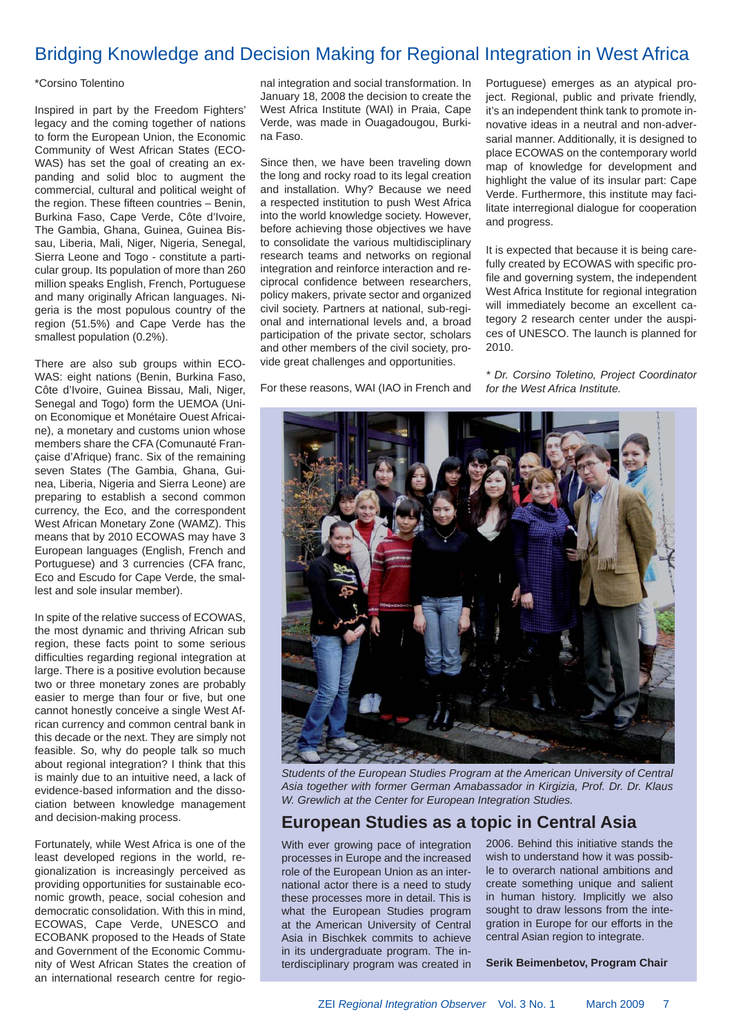### Bridging Knowledge and Decision Making for Regional Integration in West Africa

#### \*Corsino Tolentino

Inspired in part by the Freedom Fighters' legacy and the coming together of nations to form the European Union, the Economic Community of West African States (ECO-WAS) has set the goal of creating an expanding and solid bloc to augment the commercial, cultural and political weight of the region. These fifteen countries  $-$  Benin, Burkina Faso, Cape Verde, Côte d'Ivoire, The Gambia, Ghana, Guinea, Guinea Bissau, Liberia, Mali, Niger, Nigeria, Senegal, Sierra Leone and Togo - constitute a particular group. Its population of more than 260 million speaks English, French, Portuguese and many originally African languages. Nigeria is the most populous country of the region (51.5%) and Cape Verde has the smallest population (0.2%).

There are also sub groups within ECO-WAS: eight nations (Benin, Burkina Faso, Côte d'Ivoire, Guinea Bissau, Mali, Niger, Senegal and Togo) form the UEMOA (Union Economique et Monétaire Ouest Africaine), a monetary and customs union whose members share the CFA (Comunauté Française d'Afrique) franc. Six of the remaining seven States (The Gambia, Ghana, Guinea, Liberia, Nigeria and Sierra Leone) are preparing to establish a second common currency, the Eco, and the correspondent West African Monetary Zone (WAMZ). This means that by 2010 ECOWAS may have 3 European languages (English, French and Portuguese) and 3 currencies (CFA franc, Eco and Escudo for Cape Verde, the smallest and sole insular member).

In spite of the relative success of ECOWAS, the most dynamic and thriving African sub region, these facts point to some serious difficulties regarding regional integration at large. There is a positive evolution because two or three monetary zones are probably easier to merge than four or five, but one cannot honestly conceive a single West African currency and common central bank in this decade or the next. They are simply not feasible. So, why do people talk so much about regional integration? I think that this is mainly due to an intuitive need, a lack of evidence-based information and the dissociation between knowledge management and decision-making process.

Fortunately, while West Africa is one of the least developed regions in the world, regionalization is increasingly perceived as providing opportunities for sustainable economic growth, peace, social cohesion and democratic consolidation. With this in mind, ECOWAS, Cape Verde, UNESCO and ECOBANK proposed to the Heads of State and Government of the Economic Community of West African States the creation of an international research centre for regional integration and social transformation. In January 18, 2008 the decision to create the West Africa Institute (WAI) in Praia, Cape Verde, was made in Ouagadougou, Burkina Faso.

Since then, we have been traveling down the long and rocky road to its legal creation and installation. Why? Because we need a respected institution to push West Africa into the world knowledge society. However, before achieving those objectives we have to consolidate the various multidisciplinary research teams and networks on regional integration and reinforce interaction and reciprocal confidence between researchers, policy makers, private sector and organized civil society. Partners at national, sub-regional and international levels and, a broad participation of the private sector, scholars and other members of the civil society, provide great challenges and opportunities.

For these reasons, WAI (IAO in French and

Portuguese) emerges as an atypical project. Regional, public and private friendly, it's an independent think tank to promote innovative ideas in a neutral and non-adversarial manner. Additionally, it is designed to place ECOWAS on the contemporary world map of knowledge for development and highlight the value of its insular part: Cape Verde. Furthermore, this institute may facilitate interregional dialogue for cooperation and progress.

It is expected that because it is being carefully created by ECOWAS with specific profile and governing system, the independent West Africa Institute for regional integration will immediately become an excellent category 2 research center under the auspices of UNESCO. The launch is planned for 2010.

*\* Dr. Corsino Toletino, Project Coordinator for the West Africa Institute.*



*Students of the European Studies Program at the American University of Central Asia together with former German Amabassador in Kirgizia, Prof. Dr. Dr. Klaus W. Grewlich at the Center for European Integration Studies.*

### **European Studies as a topic in Central Asia**

With ever growing pace of integration processes in Europe and the increased role of the European Union as an international actor there is a need to study these processes more in detail. This is what the European Studies program at the American University of Central Asia in Bischkek commits to achieve in its undergraduate program. The interdisciplinary program was created in

2006. Behind this initiative stands the wish to understand how it was possible to overarch national ambitions and create something unique and salient in human history. Implicitly we also sought to draw lessons from the integration in Europe for our efforts in the central Asian region to integrate.

**Serik Beimenbetov, Program Chair**